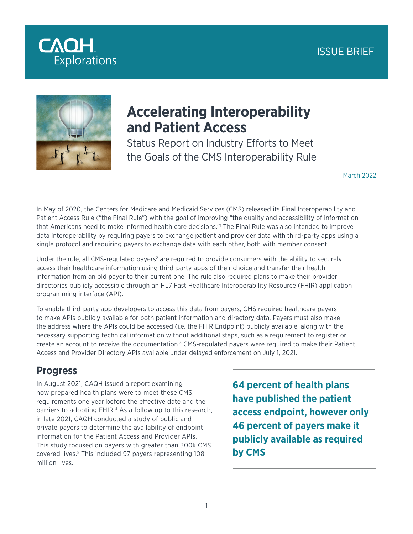# ISSUE BRIEF





# **Accelerating Interoperability and Patient Access**

Status Report on Industry Efforts to Meet the Goals of the CMS Interoperability Rule

March 2022

In May of 2020, the Centers for Medicare and Medicaid Services (CMS) released its Final Interoperability and Patient Access Rule ("the Final Rule") with the goal of improving "the quality and accessibility of information that Americans need to make informed health care decisions."1 The Final Rule was also intended to improve data interoperability by requiring payers to exchange patient and provider data with third-party apps using a single protocol and requiring payers to exchange data with each other, both with member consent.

Under the rule, all CMS-regulated payers<sup>2</sup> are required to provide consumers with the ability to securely access their healthcare information using third-party apps of their choice and transfer their health information from an old payer to their current one. The rule also required plans to make their provider directories publicly accessible through an HL7 Fast Healthcare Interoperability Resource (FHIR) application programming interface (API).

To enable third-party app developers to access this data from payers, CMS required healthcare payers to make APIs publicly available for both patient information and directory data. Payers must also make the address where the APIs could be accessed (i.e. the FHIR Endpoint) publicly available, along with the necessary supporting technical information without additional steps, such as a requirement to register or create an account to receive the documentation.<sup>3</sup> CMS-regulated payers were required to make their Patient Access and Provider Directory APIs available under delayed enforcement on July 1, 2021.

#### **Progress**

In August 2021, CAQH issued a report examining how prepared health plans were to meet these CMS requirements one year before the effective date and the barriers to adopting FHIR.<sup>4</sup> As a follow up to this research, in late 2021, CAQH conducted a study of public and private payers to determine the availability of endpoint information for the Patient Access and Provider APIs. This study focused on payers with greater than 300k CMS covered lives.5 This included 97 payers representing 108 million lives.

**64 percent of health plans have published the patient access endpoint, however only 46 percent of payers make it publicly available as required by CMS**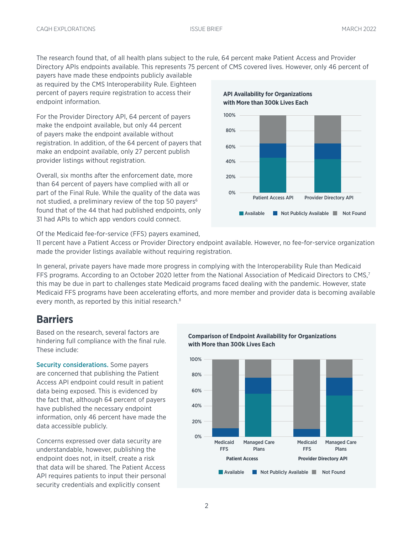The research found that, of all health plans subject to the rule, 64 percent make Patient Access and Provider Directory APIs endpoints available. This represents 75 percent of CMS covered lives. However, only 46 percent of

payers have made these endpoints publicly available as required by the CMS Interoperability Rule. Eighteen percent of payers require registration to access their endpoint information.

For the Provider Directory API, 64 percent of payers make the endpoint available, but only 44 percent of payers make the endpoint available without registration. In addition, of the 64 percent of payers that make an endpoint available, only 27 percent publish provider listings without registration.

Overall, six months after the enforcement date, more than 64 percent of payers have complied with all or part of the Final Rule. While the quality of the data was not studied, a preliminary review of the top 50 payers<sup>6</sup> found that of the 44 that had published endpoints, only 31 had APIs to which app vendors could connect.





Of the Medicaid fee-for-service (FFS) payers examined,

11 percent have a Patient Access or Provider Directory endpoint available. However, no fee-for-service organization made the provider listings available without requiring registration.

In general, private payers have made more progress in complying with the Interoperability Rule than Medicaid FFS programs. According to an October 2020 letter from the National Association of Medicaid Directors to CMS,<sup>7</sup> this may be due in part to challenges state Medicaid programs faced dealing with the pandemic. However, state Medicaid FFS programs have been accelerating efforts, and more member and provider data is becoming available every month, as reported by this initial research.<sup>8</sup>

#### **Barriers**

Based on the research, several factors are hindering full compliance with the final rule. These include:

Security considerations. Some payers are concerned that publishing the Patient Access API endpoint could result in patient data being exposed. This is evidenced by the fact that, although 64 percent of payers have published the necessary endpoint information, only 46 percent have made the data accessible publicly.

Concerns expressed over data security are understandable, however, publishing the endpoint does not, in itself, create a risk that data will be shared. The Patient Access API requires patients to input their personal security credentials and explicitly consent

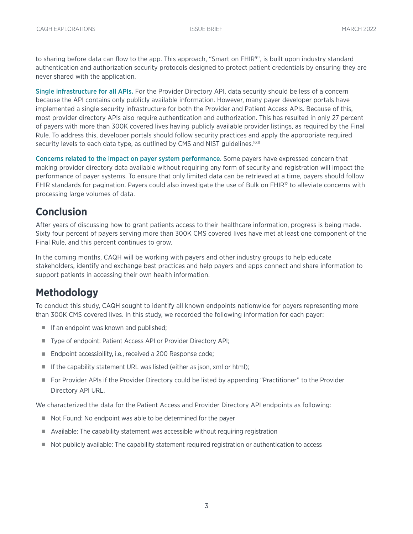to sharing before data can flow to the app. This approach, "Smart on FHIR<sup>9</sup>", is built upon industry standard authentication and authorization security protocols designed to protect patient credentials by ensuring they are never shared with the application.

Single infrastructure for all APIs. For the Provider Directory API, data security should be less of a concern because the API contains only publicly available information. However, many payer developer portals have implemented a single security infrastructure for both the Provider and Patient Access APIs. Because of this, most provider directory APIs also require authentication and authorization. This has resulted in only 27 percent of payers with more than 300K covered lives having publicly available provider listings, as required by the Final Rule. To address this, developer portals should follow security practices and apply the appropriate required security levels to each data type, as outlined by CMS and NIST quidelines.<sup>10,11</sup>

Concerns related to the impact on payer system performance. Some payers have expressed concern that making provider directory data available without requiring any form of security and registration will impact the performance of payer systems. To ensure that only limited data can be retrieved at a time, payers should follow FHIR standards for pagination. Payers could also investigate the use of Bulk on FHIR<sup>12</sup> to alleviate concerns with processing large volumes of data.

## **Conclusion**

After years of discussing how to grant patients access to their healthcare information, progress is being made. Sixty four percent of payers serving more than 300K CMS covered lives have met at least one component of the Final Rule, and this percent continues to grow.

In the coming months, CAQH will be working with payers and other industry groups to help educate stakeholders, identify and exchange best practices and help payers and apps connect and share information to support patients in accessing their own health information.

### **Methodology**

To conduct this study, CAQH sought to identify all known endpoints nationwide for payers representing more than 300K CMS covered lives. In this study, we recorded the following information for each payer:

- If an endpoint was known and published;
- Type of endpoint: Patient Access API or Provider Directory API;
- Endpoint accessibility, i.e., received a 200 Response code;
- If the capability statement URL was listed (either as json, xml or html);
- For Provider APIs if the Provider Directory could be listed by appending "Practitioner" to the Provider Directory API URL.

We characterized the data for the Patient Access and Provider Directory API endpoints as following:

- Not Found: No endpoint was able to be determined for the payer
- Available: The capability statement was accessible without requiring registration
- Not publicly available: The capability statement required registration or authentication to access